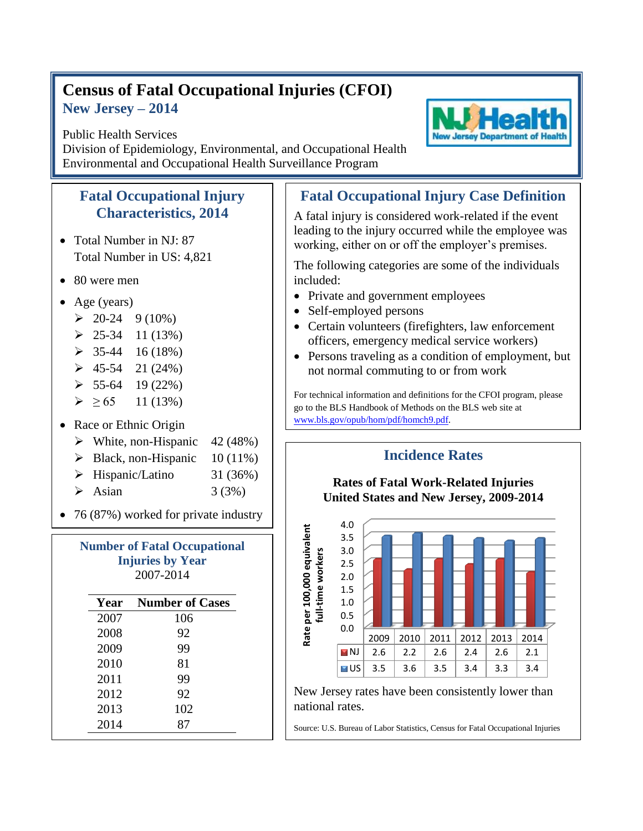## **Census of Fatal Occupational Injuries (CFOI) New Jersey – 2014**

## Public Health Services

Division of Epidemiology, Environmental, and Occupational Health Environmental and Occupational Health Surveillance Program

## **Fatal Occupational Injury Characteristics, 2014**

- Total Number in NJ: 87 Total Number in US: 4,821
- 80 were men
- Age (years)
	- $\geq 20-24$  9 (10%)
	- $\geq 25-34$  11 (13%)
	- $\geq 35-44$  16 (18%)
	- $\geq 45-54$  21 (24%)
	- $\geq 55-64$  19 (22%)
	- $\geq 65$  11 (13%)
- Race or Ethnic Origin
	- $\triangleright$  White, non-Hispanic 42 (48%)
	- $\triangleright$  Black, non-Hispanic 10 (11%)
	- $\triangleright$  Hispanic/Latino 31 (36%)
	- $\triangleright$  Asian 3 (3%)
- 76 (87%) worked for private industry

| <b>Number of Fatal Occupational</b><br><b>Injuries by Year</b><br>2007-2014 |                        |
|-----------------------------------------------------------------------------|------------------------|
| Year                                                                        | <b>Number of Cases</b> |
| 2007                                                                        | 106                    |
| 2008                                                                        | 92                     |
| 2009                                                                        | 99                     |
| 2010                                                                        | 81                     |
| 2011                                                                        | 99                     |
| 2012                                                                        | 92                     |
| 2013                                                                        | 102                    |

2014 87

## **Fatal Occupational Injury Case Definition**

A fatal injury is considered work-related if the event leading to the injury occurred while the employee was working, either on or off the employer's premises.

The following categories are some of the individuals included:

- Private and government employees
- Self-employed persons
- Certain volunteers (firefighters, law enforcement officers, emergency medical service workers)
- Persons traveling as a condition of employment, but not normal commuting to or from work

For technical information and definitions for the CFOI program, please go to the BLS Handbook of Methods on the BLS web site at [www.bls.gov/opub/hom/pdf/homch9.pdf.](file:///C:/WINNT/Profiles/borjan_m/Local%20Settings/Temporary%20Internet%20Files/Content.Outlook/9BTDUUSY/www.bls.gov/opub/hom/pdf/homch9.pdf)

**Incidence Rates**



New Jersey rates have been consistently lower than national rates.

Source: U.S. Bureau of Labor Statistics, Census for Fatal Occupational Injuries